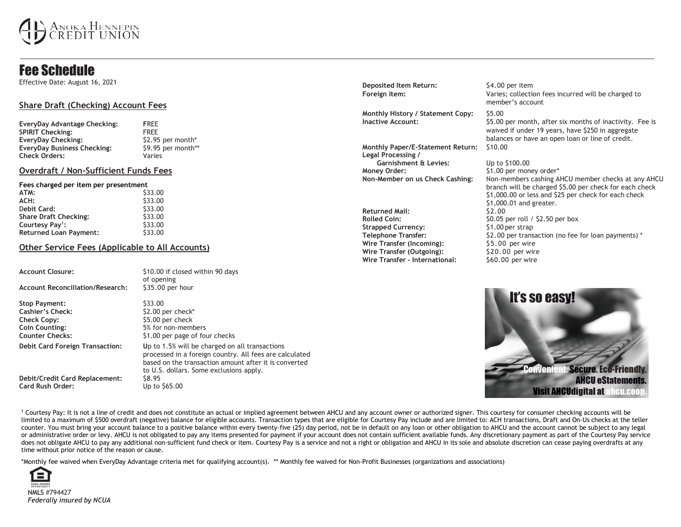# noka Hennepin<br>REDIT UNION

# Fee Schedule

Effective Date: August 16, 2021

# **Share Draft (Checking) Account Fees**

| EveryDay Advantage Checking:       | <b>FRFF</b>        |
|------------------------------------|--------------------|
| <b>SPIRIT Checking:</b>            | <b>FRFF</b>        |
| <b>EveryDay Checking:</b>          | \$2.95 per month*  |
| <b>EveryDay Business Checking:</b> | \$9.95 per month** |
| <b>Check Orders:</b>               | Varies             |

## **Overdraft / Non-Sufficient Funds Fees**

### **Fees charged per item per presentment**

| ATM:                          | \$33.00 |
|-------------------------------|---------|
| ACH:                          | \$33.00 |
| Debit Card:                   | \$33.00 |
| <b>Share Draft Checking:</b>  | \$33.00 |
| Courtesy Pay <sup>1</sup> :   | \$33.00 |
| <b>Returned Loan Payment:</b> | \$33.00 |

# **Other Service Fees (Applicable to All Accounts)**

| <b>Account Closure:</b>                                                                                           | \$10.00 if closed within 90 days<br>of opening                                                                                                                                                                |
|-------------------------------------------------------------------------------------------------------------------|---------------------------------------------------------------------------------------------------------------------------------------------------------------------------------------------------------------|
| <b>Account Reconciliation/Research:</b>                                                                           | \$35.00 per hour                                                                                                                                                                                              |
| <b>Stop Payment:</b><br>Cashier's Check:<br><b>Check Copy:</b><br><b>Coin Counting:</b><br><b>Counter Checks:</b> | \$33.00<br>\$2.00 per check*<br>\$5.00 per check<br>5% for non-members<br>\$1.00 per page of four checks                                                                                                      |
| Debit Card Foreign Transaction:                                                                                   | Up to 1.5% will be charged on all transactions<br>processed in a foreign country. All fees are calculated<br>based on the transaction amount after it is converted<br>to U.S. dollars. Some exclusions apply. |
| Debit/Credit Card Replacement:<br><b>Card Rush Order:</b>                                                         | S8.95<br>Up to \$65.00                                                                                                                                                                                        |

**Deposited Item Return:** \$4.00 per item

**Monthly History / Statement Copy:** \$5.00

**Monthly Paper/E-Statement Return:** \$10.00 **Legal Processing / Garnishment & Levies:** Up to \$100.00 **Money Order:** \$1.00 per money order\*

Returned Mail:  $$2.00$ <br>Rolled Coin:  $$0.05 \text{ m}$ **Strapped Currency:** \$1.00 per strap **Wire Transfer (Incoming):** \$5.00 per wire **Wire Transfer (Outgoing):** \$20.00 per wire<br>**Wire Transfer - International:** \$60.00 per wire **Wire Transfer - International:** 

# **Foreign Item:** Varies; collection fees incurred will be charged to member's account

**Inactive Account:**  $$5.00$  per month, after six months of inactivity. Fee is waived if under 19 years, have \$250 in aggregate balances or have an open loan or line of credit.

**Non-Member on us Check Cashing:** Non-members cashing AHCU member checks at any AHCU branch will be charged \$5.00 per check for each check \$1,000.00 or less and \$25 per check for each check \$1,000.01 and greater. \$0.05 per roll / \$2.50 per box **Telephone Transfer:**  $\begin{array}{c} \text{52.00 per transaction (no fee for loan payments)} \end{array}$ 



<sup>1</sup> Courtesy Pay: It is not a line of credit and does not constitute an actual or implied agreement between AHCU and any account owner or authorized signer. This courtesy for consumer checking accounts will be limited to a maximum of \$500 overdraft (negative) balance for eligible accounts. Transaction types that are eligible for Courtesy Pay include and are limited to: ACH transactions, Draft and On-Us checks at the teller counter. You must bring your account balance to a positive balance within every twenty-five (25) day period, not be in default on any loan or other obligation to AHCU and the account cannot be subject to any legal or administrative order or levy. AHCU is not obligated to pay any items presented for payment if your account does not contain sufficient available funds. Any discretionary payment as part of the Courtesy Pay service does not obligate AHCU to pay any additional non-sufficient fund check or item. Courtesy Pay is a service and not a right or obligation and AHCU in its sole and absolute discretion can cease paying overdrafts at any time without prior notice of the reason or cause.

\*Monthly fee waived when EveryDay Advantage criteria met for qualifying account(s). \*\* Monthly fee waived for Non-Profit Businesses (organizations and associations)